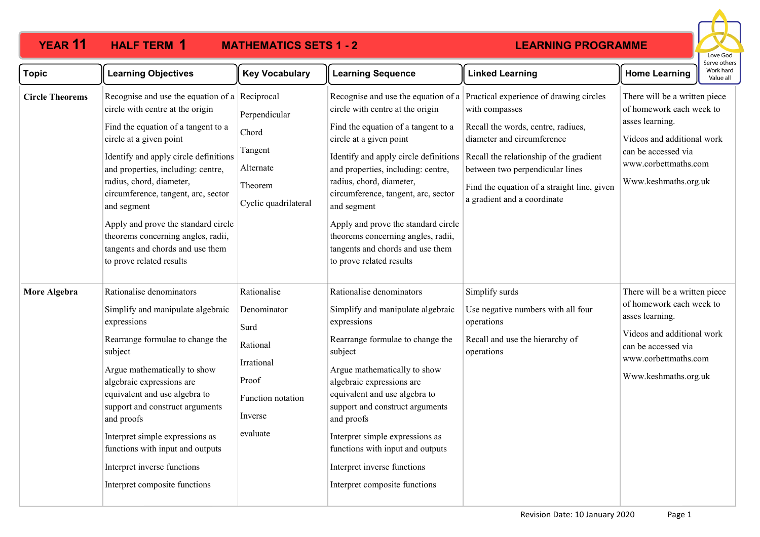## **YEAR 11 HALF TERM MATHEMATICS SETS 1 - 2 HALF TERM 1**

## **LEARNING PROGRAMME**



| <b>Topic</b>           | <b>Learning Objectives</b>                                                                                                                                                                                                                                                                                                                                                                                                                                         | <b>Key Vocabulary</b>                                                                                             | <b>Learning Sequence</b>                                                                                                                                                                                                                                                                                                                                                                                          | <b>Linked Learning</b>                                                                                                                                                                                                                                                                                                        | <b>Home Learning</b>                                                                                                                                                              | Work hard<br>Value all |
|------------------------|--------------------------------------------------------------------------------------------------------------------------------------------------------------------------------------------------------------------------------------------------------------------------------------------------------------------------------------------------------------------------------------------------------------------------------------------------------------------|-------------------------------------------------------------------------------------------------------------------|-------------------------------------------------------------------------------------------------------------------------------------------------------------------------------------------------------------------------------------------------------------------------------------------------------------------------------------------------------------------------------------------------------------------|-------------------------------------------------------------------------------------------------------------------------------------------------------------------------------------------------------------------------------------------------------------------------------------------------------------------------------|-----------------------------------------------------------------------------------------------------------------------------------------------------------------------------------|------------------------|
| <b>Circle Theorems</b> | Recognise and use the equation of a Reciprocal<br>circle with centre at the origin<br>Find the equation of a tangent to a<br>circle at a given point<br>Identify and apply circle definitions<br>and properties, including: centre,<br>radius, chord, diameter,<br>circumference, tangent, arc, sector<br>and segment<br>Apply and prove the standard circle<br>theorems concerning angles, radii,<br>tangents and chords and use them<br>to prove related results | Perpendicular<br>Chord<br>Tangent<br>Alternate<br>Theorem<br>Cyclic quadrilateral                                 | circle with centre at the origin<br>Find the equation of a tangent to a<br>circle at a given point<br>Identify and apply circle definitions<br>and properties, including: centre,<br>radius, chord, diameter,<br>circumference, tangent, arc, sector<br>and segment<br>Apply and prove the standard circle<br>theorems concerning angles, radii,<br>tangents and chords and use them<br>to prove related results  | Recognise and use the equation of a Practical experience of drawing circles<br>with compasses<br>Recall the words, centre, radiues,<br>diameter and circumference<br>Recall the relationship of the gradient<br>between two perpendicular lines<br>Find the equation of a straight line, given<br>a gradient and a coordinate | There will be a written piece<br>of homework each week to<br>asses learning.<br>Videos and additional work<br>can be accessed via<br>www.corbettmaths.com<br>Www.keshmaths.org.uk |                        |
| More Algebra           | Rationalise denominators<br>Simplify and manipulate algebraic<br>expressions<br>Rearrange formulae to change the<br>subject<br>Argue mathematically to show<br>algebraic expressions are<br>equivalent and use algebra to<br>support and construct arguments<br>and proofs<br>Interpret simple expressions as<br>functions with input and outputs<br>Interpret inverse functions<br>Interpret composite functions                                                  | Rationalise<br>Denominator<br>Surd<br>Rational<br>Irrational<br>Proof<br>Function notation<br>Inverse<br>evaluate | Rationalise denominators<br>Simplify and manipulate algebraic<br>expressions<br>Rearrange formulae to change the<br>subject<br>Argue mathematically to show<br>algebraic expressions are<br>equivalent and use algebra to<br>support and construct arguments<br>and proofs<br>Interpret simple expressions as<br>functions with input and outputs<br>Interpret inverse functions<br>Interpret composite functions | Simplify surds<br>Use negative numbers with all four<br>operations<br>Recall and use the hierarchy of<br>operations                                                                                                                                                                                                           | There will be a written piece<br>of homework each week to<br>asses learning.<br>Videos and additional work<br>can be accessed via<br>www.corbettmaths.com<br>Www.keshmaths.org.uk |                        |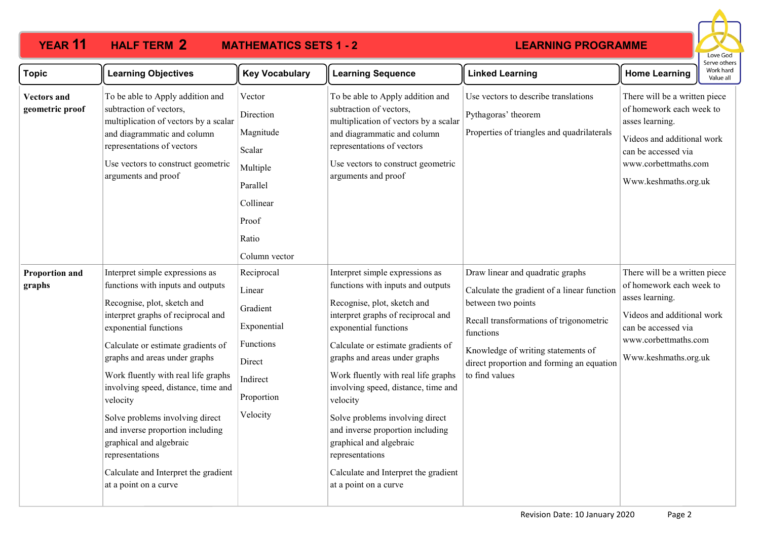## **YEAR 11 HALF TERM 2 MATHEMATICS SETS 1 - 2**

## **LEARNING PROGRAMME**



| <b>Topic</b>                          | <b>Learning Objectives</b>                                                                                                                                                                                                                                                                                                                                                                                                                                                                                                | <b>Key Vocabulary</b>                                                                                              | <b>Learning Sequence</b>                                                                                                                                                                                                                                                                                                                                                                                                                                                                                                  | <b>Linked Learning</b>                                                                                                                                                                                                                                             | <b>Home Learning</b>                                                                                                                                                              | וסו עם טנו וכו :<br>Work hard<br>Value all |
|---------------------------------------|---------------------------------------------------------------------------------------------------------------------------------------------------------------------------------------------------------------------------------------------------------------------------------------------------------------------------------------------------------------------------------------------------------------------------------------------------------------------------------------------------------------------------|--------------------------------------------------------------------------------------------------------------------|---------------------------------------------------------------------------------------------------------------------------------------------------------------------------------------------------------------------------------------------------------------------------------------------------------------------------------------------------------------------------------------------------------------------------------------------------------------------------------------------------------------------------|--------------------------------------------------------------------------------------------------------------------------------------------------------------------------------------------------------------------------------------------------------------------|-----------------------------------------------------------------------------------------------------------------------------------------------------------------------------------|--------------------------------------------|
| <b>Vectors and</b><br>geometric proof | To be able to Apply addition and<br>subtraction of vectors,<br>multiplication of vectors by a scalar<br>and diagrammatic and column<br>representations of vectors<br>Use vectors to construct geometric<br>arguments and proof                                                                                                                                                                                                                                                                                            | Vector<br>Direction<br>Magnitude<br>Scalar<br>Multiple<br>Parallel<br>Collinear<br>Proof<br>Ratio<br>Column vector | To be able to Apply addition and<br>subtraction of vectors,<br>multiplication of vectors by a scalar<br>and diagrammatic and column<br>representations of vectors<br>Use vectors to construct geometric<br>arguments and proof                                                                                                                                                                                                                                                                                            | Use vectors to describe translations<br>Pythagoras' theorem<br>Properties of triangles and quadrilaterals                                                                                                                                                          | There will be a written piece<br>of homework each week to<br>asses learning.<br>Videos and additional work<br>can be accessed via<br>www.corbettmaths.com<br>Www.keshmaths.org.uk |                                            |
| <b>Proportion and</b><br>graphs       | Interpret simple expressions as<br>functions with inputs and outputs<br>Recognise, plot, sketch and<br>interpret graphs of reciprocal and<br>exponential functions<br>Calculate or estimate gradients of<br>graphs and areas under graphs<br>Work fluently with real life graphs<br>involving speed, distance, time and<br>velocity<br>Solve problems involving direct<br>and inverse proportion including<br>graphical and algebraic<br>representations<br>Calculate and Interpret the gradient<br>at a point on a curve | Reciprocal<br>Linear<br>Gradient<br>Exponential<br>Functions<br>Direct<br>Indirect<br>Proportion<br>Velocity       | Interpret simple expressions as<br>functions with inputs and outputs<br>Recognise, plot, sketch and<br>interpret graphs of reciprocal and<br>exponential functions<br>Calculate or estimate gradients of<br>graphs and areas under graphs<br>Work fluently with real life graphs<br>involving speed, distance, time and<br>velocity<br>Solve problems involving direct<br>and inverse proportion including<br>graphical and algebraic<br>representations<br>Calculate and Interpret the gradient<br>at a point on a curve | Draw linear and quadratic graphs<br>Calculate the gradient of a linear function<br>between two points<br>Recall transformations of trigonometric<br>functions<br>Knowledge of writing statements of<br>direct proportion and forming an equation<br>to find values | There will be a written piece<br>of homework each week to<br>asses learning.<br>Videos and additional work<br>can be accessed via<br>www.corbettmaths.com<br>Www.keshmaths.org.uk |                                            |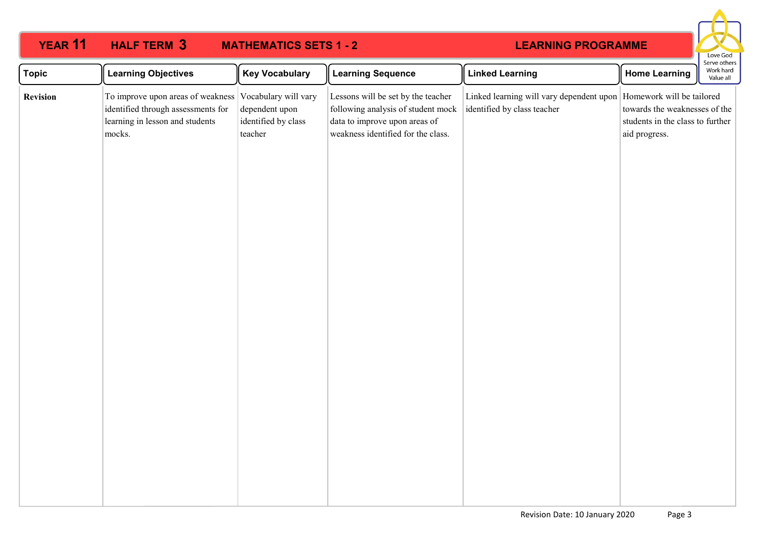| <b>YEAR 11</b>  | <b>HALF TERM 3</b>                                                                                                   | <b>MATHEMATICS SETS 1 - 2</b>                                            |                                                                                                                                                 | <b>LEARNING PROGRAMME</b>                                                                         |                                                                                    | Love God                               |
|-----------------|----------------------------------------------------------------------------------------------------------------------|--------------------------------------------------------------------------|-------------------------------------------------------------------------------------------------------------------------------------------------|---------------------------------------------------------------------------------------------------|------------------------------------------------------------------------------------|----------------------------------------|
| <b>Topic</b>    | <b>Learning Objectives</b>                                                                                           | <b>Key Vocabulary</b>                                                    | <b>Learning Sequence</b>                                                                                                                        | <b>Linked Learning</b>                                                                            | <b>Home Learning</b>                                                               | Serve others<br>Work hard<br>Value all |
| <b>Revision</b> | To improve upon areas of weakness<br>identified through assessments for<br>learning in lesson and students<br>mocks. | Vocabulary will vary<br>dependent upon<br>identified by class<br>teacher | Lessons will be set by the teacher<br>following analysis of student mock<br>data to improve upon areas of<br>weakness identified for the class. | Linked learning will vary dependent upon Homework will be tailored<br>identified by class teacher | towards the weaknesses of the<br>students in the class to further<br>aid progress. |                                        |
|                 |                                                                                                                      |                                                                          |                                                                                                                                                 |                                                                                                   |                                                                                    |                                        |
|                 |                                                                                                                      |                                                                          |                                                                                                                                                 |                                                                                                   |                                                                                    |                                        |
|                 |                                                                                                                      |                                                                          |                                                                                                                                                 |                                                                                                   |                                                                                    |                                        |
|                 |                                                                                                                      |                                                                          |                                                                                                                                                 |                                                                                                   |                                                                                    |                                        |
|                 |                                                                                                                      |                                                                          |                                                                                                                                                 |                                                                                                   |                                                                                    |                                        |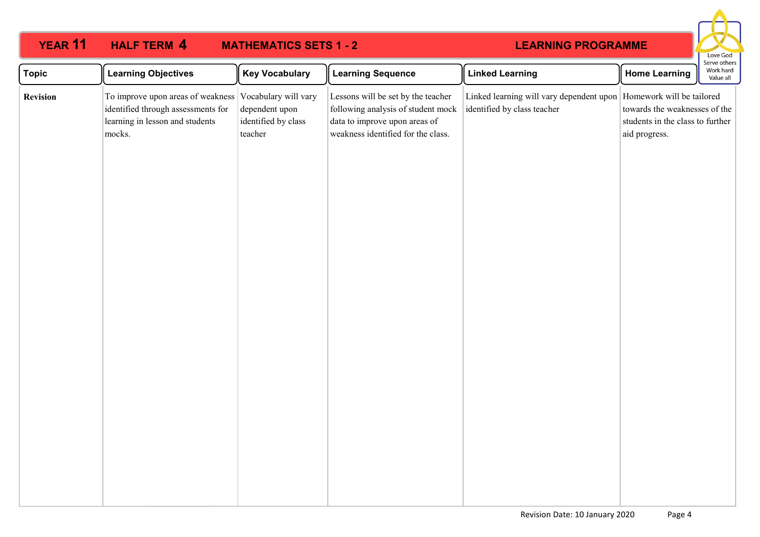| <b>YEAR 11</b>  | <b>HALF TERM 4</b>                                                                                                   | <b>MATHEMATICS SETS 1 - 2</b>                                            |                                                                                                                                                 | <b>LEARNING PROGRAMME</b>                                                                           |                                                                                    | Love God                               |
|-----------------|----------------------------------------------------------------------------------------------------------------------|--------------------------------------------------------------------------|-------------------------------------------------------------------------------------------------------------------------------------------------|-----------------------------------------------------------------------------------------------------|------------------------------------------------------------------------------------|----------------------------------------|
| <b>Topic</b>    | <b>Learning Objectives</b>                                                                                           | <b>Key Vocabulary</b>                                                    | <b>Learning Sequence</b>                                                                                                                        | <b>Linked Learning</b>                                                                              | <b>Home Learning</b>                                                               | Serve others<br>Work hard<br>Value all |
| <b>Revision</b> | To improve upon areas of weakness<br>identified through assessments for<br>learning in lesson and students<br>mocks. | Vocabulary will vary<br>dependent upon<br>identified by class<br>teacher | Lessons will be set by the teacher<br>following analysis of student mock<br>data to improve upon areas of<br>weakness identified for the class. | Linked learning will vary dependent upon   Homework will be tailored<br>identified by class teacher | towards the weaknesses of the<br>students in the class to further<br>aid progress. |                                        |
|                 |                                                                                                                      |                                                                          |                                                                                                                                                 |                                                                                                     |                                                                                    |                                        |
|                 |                                                                                                                      |                                                                          |                                                                                                                                                 |                                                                                                     |                                                                                    |                                        |
|                 |                                                                                                                      |                                                                          |                                                                                                                                                 |                                                                                                     |                                                                                    |                                        |
|                 |                                                                                                                      |                                                                          |                                                                                                                                                 |                                                                                                     |                                                                                    |                                        |
|                 |                                                                                                                      |                                                                          |                                                                                                                                                 |                                                                                                     |                                                                                    |                                        |